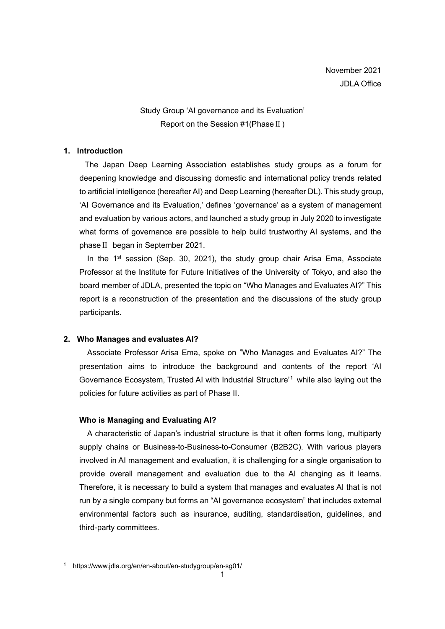# Study Group 'AI governance and its Evaluation' Report on the Session #1(PhaseⅡ)

## **1. Introduction**

The Japan Deep Learning Association establishes study groups as a forum for deepening knowledge and discussing domestic and international policy trends related to artificial intelligence (hereafter AI) and Deep Learning (hereafter DL). This study group, 'AI Governance and its Evaluation,' defines 'governance' as a system of management and evaluation by various actors, and launched a study group in July 2020 to investigate what forms of governance are possible to help build trustworthy AI systems, and the phaseⅡ began in September 2021.

In the  $1<sup>st</sup>$  session (Sep. 30, 2021), the study group chair Arisa Ema, Associate Professor at the Institute for Future Initiatives of the University of Tokyo, and also the board member of JDLA, presented the topic on "Who Manages and Evaluates AI?" This report is a reconstruction of the presentation and the discussions of the study group participants.

## **2. Who Manages and evaluates AI?**

Associate Professor Arisa Ema, spoke on "Who Manages and Evaluates AI?" The presentation aims to introduce the background and contents of the report 'AI Governance Ecosystem, Trusted AI with Industrial Structure' [1](#page-0-0) while also laying out the policies for future activities as part of Phase II.

## **Who is Managing and Evaluating AI?**

A characteristic of Japan's industrial structure is that it often forms long, multiparty supply chains or Business-to-Business-to-Consumer (B2B2C). With various players involved in AI management and evaluation, it is challenging for a single organisation to provide overall management and evaluation due to the AI changing as it learns. Therefore, it is necessary to build a system that manages and evaluates AI that is not run by a single company but forms an "AI governance ecosystem" that includes external environmental factors such as insurance, auditing, standardisation, guidelines, and third-party committees.

<span id="page-0-0"></span><sup>1</sup> https://www.jdla.org/en/en-about/en-studygroup/en-sg01/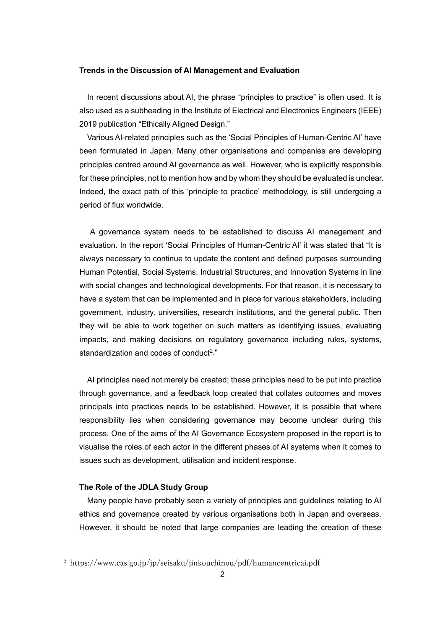#### **Trends in the Discussion of AI Management and Evaluation**

In recent discussions about AI, the phrase "principles to practice" is often used. It is also used as a subheading in the Institute of Electrical and Electronics Engineers (IEEE) 2019 publication "Ethically Aligned Design."

Various AI-related principles such as the 'Social Principles of Human-Centric AI' have been formulated in Japan. Many other organisations and companies are developing principles centred around AI governance as well. However, who is explicitly responsible for these principles, not to mention how and by whom they should be evaluated is unclear. Indeed, the exact path of this 'principle to practice' methodology, is still undergoing a period of flux worldwide.

A governance system needs to be established to discuss AI management and evaluation. In the report 'Social Principles of Human-Centric AI' it was stated that "It is always necessary to continue to update the content and defined purposes surrounding Human Potential, Social Systems, Industrial Structures, and Innovation Systems in line with social changes and technological developments. For that reason, it is necessary to have a system that can be implemented and in place for various stakeholders, including government, industry, universities, research institutions, and the general public. Then they will be able to work together on such matters as identifying issues, evaluating impacts, and making decisions on regulatory governance including rules, systems, standardization and codes of conduct<sup>2</sup>."

AI principles need not merely be created; these principles need to be put into practice through governance, and a feedback loop created that collates outcomes and moves principals into practices needs to be established. However, it is possible that where responsibility lies when considering governance may become unclear during this process. One of the aims of the AI Governance Ecosystem proposed in the report is to visualise the roles of each actor in the different phases of AI systems when it comes to issues such as development, utilisation and incident response.

# **The Role of the JDLA Study Group**

Many people have probably seen a variety of principles and guidelines relating to AI ethics and governance created by various organisations both in Japan and overseas. However, it should be noted that large companies are leading the creation of these

<span id="page-1-0"></span><sup>2</sup> https://www.cas.go.jp/jp/seisaku/jinkouchinou/pdf/humancentricai.pdf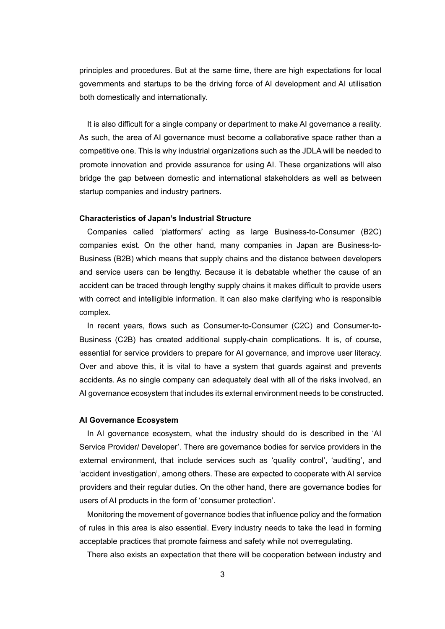principles and procedures. But at the same time, there are high expectations for local governments and startups to be the driving force of AI development and AI utilisation both domestically and internationally.

It is also difficult for a single company or department to make AI governance a reality. As such, the area of AI governance must become a collaborative space rather than a competitive one. This is why industrial organizations such as the JDLA will be needed to promote innovation and provide assurance for using AI. These organizations will also bridge the gap between domestic and international stakeholders as well as between startup companies and industry partners.

#### **Characteristics of Japan's Industrial Structure**

Companies called 'platformers' acting as large Business-to-Consumer (B2C) companies exist. On the other hand, many companies in Japan are Business-to-Business (B2B) which means that supply chains and the distance between developers and service users can be lengthy. Because it is debatable whether the cause of an accident can be traced through lengthy supply chains it makes difficult to provide users with correct and intelligible information. It can also make clarifying who is responsible complex.

In recent years, flows such as Consumer-to-Consumer (C2C) and Consumer-to-Business (C2B) has created additional supply-chain complications. It is, of course, essential for service providers to prepare for AI governance, and improve user literacy. Over and above this, it is vital to have a system that guards against and prevents accidents. As no single company can adequately deal with all of the risks involved, an AI governance ecosystem that includes its external environment needs to be constructed.

### **AI Governance Ecosystem**

In AI governance ecosystem, what the industry should do is described in the 'AI Service Provider/ Developer'. There are governance bodies for service providers in the external environment, that include services such as 'quality control', 'auditing', and 'accident investigation', among others. These are expected to cooperate with AI service providers and their regular duties. On the other hand, there are governance bodies for users of AI products in the form of 'consumer protection'.

Monitoring the movement of governance bodies that influence policy and the formation of rules in this area is also essential. Every industry needs to take the lead in forming acceptable practices that promote fairness and safety while not overregulating.

There also exists an expectation that there will be cooperation between industry and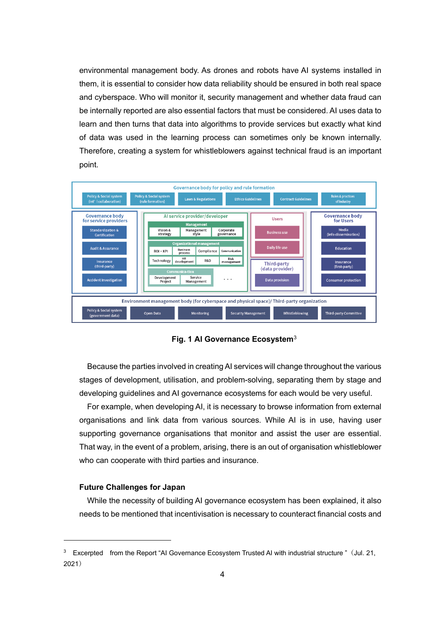environmental management body. As drones and robots have AI systems installed in them, it is essential to consider how data reliability should be ensured in both real space and cyberspace. Who will monitor it, security management and whether data fraud can be internally reported are also essential factors that must be considered. AI uses data to learn and then turns that data into algorithms to provide services but exactly what kind of data was used in the learning process can sometimes only be known internally. Therefore, creating a system for whistleblowers against technical fraud is an important point.



**Fig. 1 AI Governance Ecosystem**[3](#page-3-0)

Because the parties involved in creating AI services will change throughout the various stages of development, utilisation, and problem-solving, separating them by stage and developing guidelines and AI governance ecosystems for each would be very useful.

For example, when developing AI, it is necessary to browse information from external organisations and link data from various sources. While AI is in use, having user supporting governance organisations that monitor and assist the user are essential. That way, in the event of a problem, arising, there is an out of organisation whistleblower who can cooperate with third parties and insurance.

## **Future Challenges for Japan**

While the necessity of building AI governance ecosystem has been explained, it also needs to be mentioned that incentivisation is necessary to counteract financial costs and

<span id="page-3-0"></span><sup>&</sup>lt;sup>3</sup> Excerpted from the Report "AI Governance Ecosystem Trusted AI with industrial structure " (Jul. 21, 2021)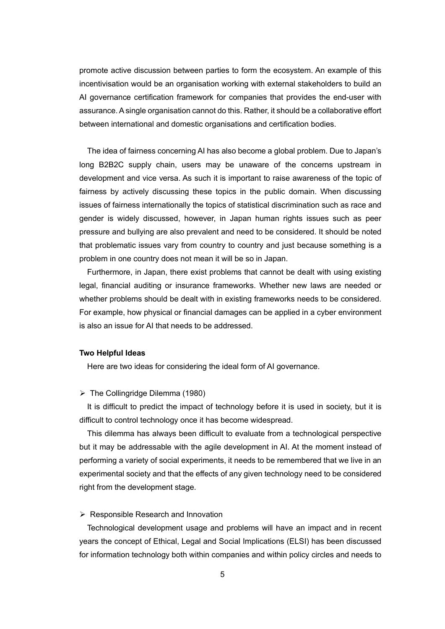promote active discussion between parties to form the ecosystem. An example of this incentivisation would be an organisation working with external stakeholders to build an AI governance certification framework for companies that provides the end-user with assurance. A single organisation cannot do this. Rather, it should be a collaborative effort between international and domestic organisations and certification bodies.

The idea of fairness concerning AI has also become a global problem. Due to Japan's long B2B2C supply chain, users may be unaware of the concerns upstream in development and vice versa. As such it is important to raise awareness of the topic of fairness by actively discussing these topics in the public domain. When discussing issues of fairness internationally the topics of statistical discrimination such as race and gender is widely discussed, however, in Japan human rights issues such as peer pressure and bullying are also prevalent and need to be considered. It should be noted that problematic issues vary from country to country and just because something is a problem in one country does not mean it will be so in Japan.

Furthermore, in Japan, there exist problems that cannot be dealt with using existing legal, financial auditing or insurance frameworks. Whether new laws are needed or whether problems should be dealt with in existing frameworks needs to be considered. For example, how physical or financial damages can be applied in a cyber environment is also an issue for AI that needs to be addressed.

#### **Two Helpful Ideas**

Here are two ideas for considering the ideal form of AI governance.

### $\triangleright$  The Collingridge Dilemma (1980)

It is difficult to predict the impact of technology before it is used in society, but it is difficult to control technology once it has become widespread.

This dilemma has always been difficult to evaluate from a technological perspective but it may be addressable with the agile development in AI. At the moment instead of performing a variety of social experiments, it needs to be remembered that we live in an experimental society and that the effects of any given technology need to be considered right from the development stage.

#### $\triangleright$  Responsible Research and Innovation

Technological development usage and problems will have an impact and in recent years the concept of Ethical, Legal and Social Implications (ELSI) has been discussed for information technology both within companies and within policy circles and needs to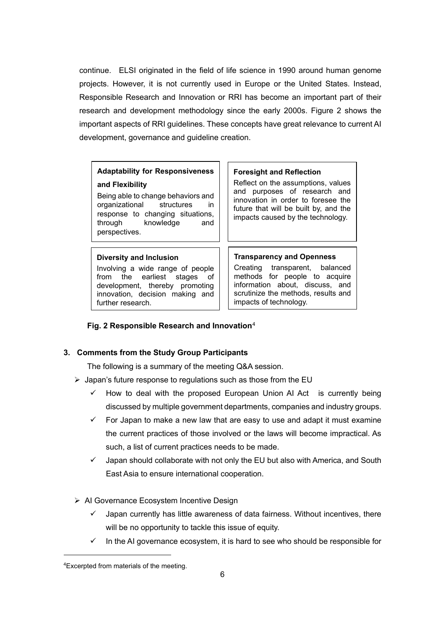continue. ELSI originated in the field of life science in 1990 around human genome projects. However, it is not currently used in Europe or the United States. Instead, Responsible Research and Innovation or RRI has become an important part of their research and development methodology since the early 2000s. Figure 2 shows the important aspects of RRI guidelines. These concepts have great relevance to current AI development, governance and guideline creation.

# **Adaptability for Responsiveness and Flexibility**

Being able to change behaviors and organizational structures in response to changing situations, through knowledge and perspectives.

## **Diversity and Inclusion**

Involving a wide range of people from the earliest stages of development, thereby promoting innovation, decision making and further research.

#### **Foresight and Reflection**

Reflect on the assumptions, values and purposes of research and innovation in order to foresee the future that will be built by, and the impacts caused by the technology.

## **Transparency and Openness**

Creating transparent, balanced methods for people to acquire information about, discuss, and scrutinize the methods, results and impacts of technology.

## **Fig. 2 Responsible Research and Innovation**[4](#page-5-0)

## **3. Comments from the Study Group Participants**

The following is a summary of the meeting Q&A session.

- $\triangleright$  Japan's future response to regulations such as those from the EU
	- $\checkmark$  How to deal with the proposed European Union AI Act is currently being discussed by multiple government departments, companies and industry groups.
	- $\checkmark$  For Japan to make a new law that are easy to use and adapt it must examine the current practices of those involved or the laws will become impractical. As such, a list of current practices needs to be made.
	- $\checkmark$  Japan should collaborate with not only the EU but also with America, and South East Asia to ensure international cooperation.
- **▶ AI Governance Ecosystem Incentive Design** 
	- Japan currently has little awareness of data fairness. Without incentives, there will be no opportunity to tackle this issue of equity.
	- $\checkmark$  In the AI governance ecosystem, it is hard to see who should be responsible for

<span id="page-5-0"></span><sup>4</sup>Excerpted from materials of the meeting.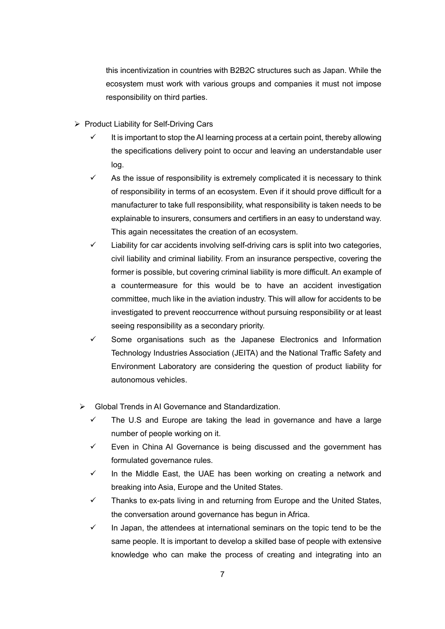this incentivization in countries with B2B2C structures such as Japan. While the ecosystem must work with various groups and companies it must not impose responsibility on third parties.

- $\triangleright$  Product Liability for Self-Driving Cars
	- $\checkmark$  It is important to stop the AI learning process at a certain point, thereby allowing the specifications delivery point to occur and leaving an understandable user log.
	- $\checkmark$  As the issue of responsibility is extremely complicated it is necessary to think of responsibility in terms of an ecosystem. Even if it should prove difficult for a manufacturer to take full responsibility, what responsibility is taken needs to be explainable to insurers, consumers and certifiers in an easy to understand way. This again necessitates the creation of an ecosystem.
	- $\checkmark$  Liability for car accidents involving self-driving cars is split into two categories, civil liability and criminal liability. From an insurance perspective, covering the former is possible, but covering criminal liability is more difficult. An example of a countermeasure for this would be to have an accident investigation committee, much like in the aviation industry. This will allow for accidents to be investigated to prevent reoccurrence without pursuing responsibility or at least seeing responsibility as a secondary priority.
	- $\checkmark$  Some organisations such as the Japanese Electronics and Information Technology Industries Association (JEITA) and the National Traffic Safety and Environment Laboratory are considering the question of product liability for autonomous vehicles.
	- Global Trends in AI Governance and Standardization.
		- $\checkmark$  The U.S and Europe are taking the lead in governance and have a large number of people working on it.
		- $\checkmark$  Even in China AI Governance is being discussed and the government has formulated governance rules.
		- $\checkmark$  In the Middle East, the UAE has been working on creating a network and breaking into Asia, Europe and the United States.
		- $\checkmark$  Thanks to ex-pats living in and returning from Europe and the United States, the conversation around governance has begun in Africa.
		- $\checkmark$  In Japan, the attendees at international seminars on the topic tend to be the same people. It is important to develop a skilled base of people with extensive knowledge who can make the process of creating and integrating into an